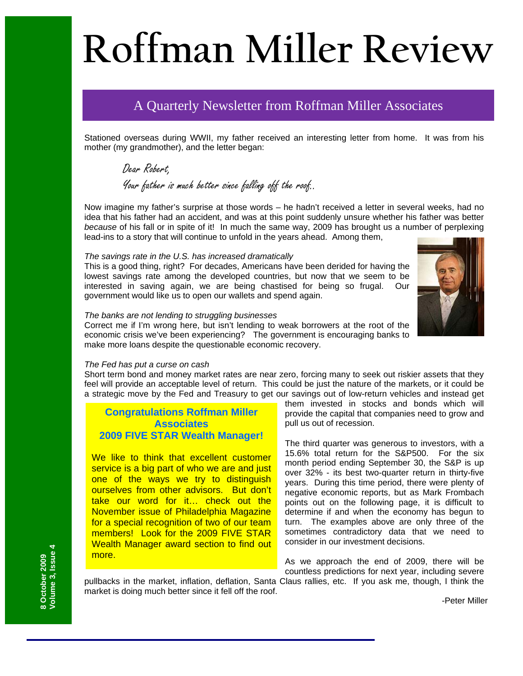# **Roffman Miller Review**

# A Quarterly Newsletter from Roffman Miller Associates

Stationed overseas during WWII, my father received an interesting letter from home. It was from his mother (my grandmother), and the letter began:

Dear Robert, Your father is much better since falling off the roof..

Now imagine my father's surprise at those words – he hadn't received a letter in several weeks, had no idea that his father had an accident, and was at this point suddenly unsure whether his father was better *because* of his fall or in spite of it! In much the same way, 2009 has brought us a number of perplexing lead-ins to a story that will continue to unfold in the years ahead. Among them,

#### *The savings rate in the U.S. has increased dramatically*

This is a good thing, right? For decades, Americans have been derided for having the lowest savings rate among the developed countries, but now that we seem to be interested in saving again, we are being chastised for being so frugal. Our government would like us to open our wallets and spend again.



#### *The banks are not lending to struggling businesses*

Correct me if I'm wrong here, but isn't lending to weak borrowers at the root of the economic crisis we've been experiencing? The government is encouraging banks to make more loans despite the questionable economic recovery.

#### *The Fed has put a curse on cash*

Short term bond and money market rates are near zero, forcing many to seek out riskier assets that they feel will provide an acceptable level of return. This could be just the nature of the markets, or it could be a strategic move by the Fed and Treasury to get our savings out of low-return vehicles and instead get

# **Congratulations Roffman Miller Associates 2009 FIVE STAR Wealth Manager!**

We like to think that excellent customer service is a big part of who we are and just one of the ways we try to distinguish ourselves from other advisors. But don't take our word for it… check out the November issue of Philadelphia Magazine for a special recognition of two of our team members! Look for the 2009 FIVE STAR Wealth Manager award section to find out more.

them invested in stocks and bonds which will provide the capital that companies need to grow and pull us out of recession.

The third quarter was generous to investors, with a 15.6% total return for the S&P500. For the six month period ending September 30, the S&P is up over 32% - its best two-quarter return in thirty-five years. During this time period, there were plenty of negative economic reports, but as Mark Frombach points out on the following page, it is difficult to determine if and when the economy has begun to turn. The examples above are only three of the sometimes contradictory data that we need to consider in our investment decisions.

As we approach the end of 2009, there will be countless predictions for next year, including severe

pullbacks in the market, inflation, deflation, Santa Claus rallies, etc. If you ask me, though, I think the market is doing much better since it fell off the roof.

**/olume 3, Issue 4 Volume 3, Issue 4**  8 October 2009 **8 October 2009** 

-Peter Miller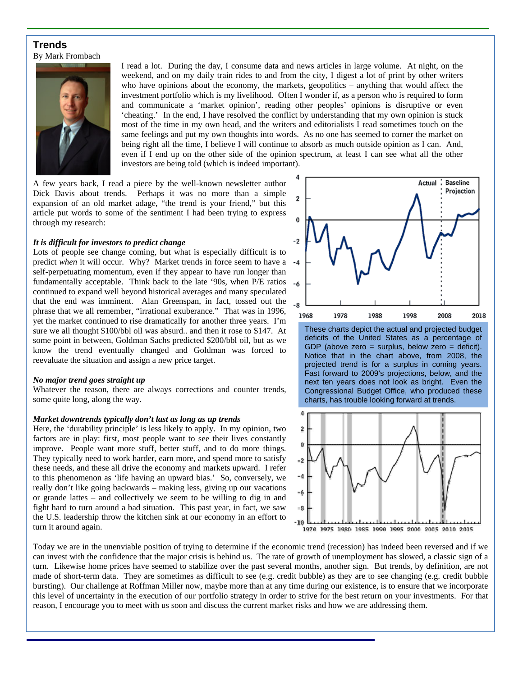## **Trends**  By Mark Frombach



I read a lot. During the day, I consume data and news articles in large volume. At night, on the weekend, and on my daily train rides to and from the city, I digest a lot of print by other writers who have opinions about the economy, the markets, geopolitics – anything that would affect the investment portfolio which is my livelihood. Often I wonder if, as a person who is required to form and communicate a 'market opinion', reading other peoples' opinions is disruptive or even 'cheating.' In the end, I have resolved the conflict by understanding that my own opinion is stuck most of the time in my own head, and the writers and editorialists I read sometimes touch on the same feelings and put my own thoughts into words. As no one has seemed to corner the market on being right all the time, I believe I will continue to absorb as much outside opinion as I can. And, even if I end up on the other side of the opinion spectrum, at least I can see what all the other investors are being told (which is indeed important).

A few years back, I read a piece by the well-known newsletter author Dick Davis about trends. Perhaps it was no more than a simple expansion of an old market adage, "the trend is your friend," but this article put words to some of the sentiment I had been trying to express through my research:

#### *It is difficult for investors to predict change*

Lots of people see change coming, but what is especially difficult is to predict *when* it will occur. Why? Market trends in force seem to have a self-perpetuating momentum, even if they appear to have run longer than fundamentally acceptable. Think back to the late '90s, when P/E ratios continued to expand well beyond historical averages and many speculated that the end was imminent. Alan Greenspan, in fact, tossed out the phrase that we all remember, "irrational exuberance." That was in 1996, yet the market continued to rise dramatically for another three years. I'm sure we all thought \$100/bbl oil was absurd.. and then it rose to \$147. At some point in between, Goldman Sachs predicted \$200/bbl oil, but as we know the trend eventually changed and Goldman was forced to reevaluate the situation and assign a new price target.

#### *No major trend goes straight up*

Whatever the reason, there are always corrections and counter trends, some quite long, along the way.

#### *Market downtrends typically don't last as long as up trends*

Here, the 'durability principle' is less likely to apply. In my opinion, two factors are in play: first, most people want to see their lives constantly improve. People want more stuff, better stuff, and to do more things. They typically need to work harder, earn more, and spend more to satisfy these needs, and these all drive the economy and markets upward. I refer to this phenomenon as 'life having an upward bias.' So, conversely, we really don't like going backwards – making less, giving up our vacations or grande lattes – and collectively we seem to be willing to dig in and fight hard to turn around a bad situation. This past year, in fact, we saw the U.S. leadership throw the kitchen sink at our economy in an effort to turn it around again.



These charts depict the actual and projected budget deficits of the United States as a percentage of GDP (above zero = surplus, below zero = deficit). Notice that in the chart above, from 2008, the projected trend is for a surplus in coming years. Fast forward to 2009's projections, below, and the next ten years does not look as bright. Even the Congressional Budget Office, who produced these charts, has trouble looking forward at trends.



Today we are in the unenviable position of trying to determine if the economic trend (recession) has indeed been reversed and if we can invest with the confidence that the major crisis is behind us. The rate of growth of unemployment has slowed, a classic sign of a turn. Likewise home prices have seemed to stabilize over the past several months, another sign. But trends, by definition, are not made of short-term data. They are sometimes as difficult to see (e.g. credit bubble) as they are to see changing (e.g. credit bubble bursting). Our challenge at Roffman Miller now, maybe more than at any time during our existence, is to ensure that we incorporate this level of uncertainty in the execution of our portfolio strategy in order to strive for the best return on your investments. For that reason, I encourage you to meet with us soon and discuss the current market risks and how we are addressing them.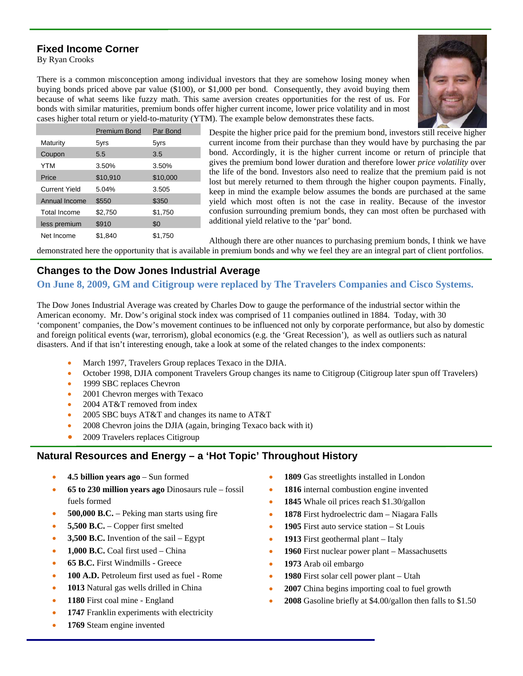# **Fixed Income Corner**

By Ryan Crooks



There is a common misconception among individual investors that they are somehow losing money when buying bonds priced above par value (\$100), or \$1,000 per bond. Consequently, they avoid buying them because of what seems like fuzzy math. This same aversion creates opportunities for the rest of us. For bonds with similar maturities, premium bonds offer higher current income, lower price volatility and in most cases higher total return or yield-to-maturity (YTM). The example below demonstrates these facts.

|                      | Premium Bond | Par Bond |
|----------------------|--------------|----------|
| Maturity             | 5yrs         | 5yrs     |
| Coupon               | 5.5          | 3.5      |
| YTM                  | 3.50%        | 3.50%    |
| Price                | \$10,910     | \$10,000 |
| <b>Current Yield</b> | 5.04%        | 3.505    |
| Annual Income        | \$550        | \$350    |
| <b>Total Income</b>  | \$2,750      | \$1,750  |
| less premium         | \$910        | \$0      |
| Net Income           | \$1.840      | \$1,750  |

Despite the higher price paid for the premium bond, investors still receive higher current income from their purchase than they would have by purchasing the par bond. Accordingly, it is the higher current income or return of principle that gives the premium bond lower duration and therefore lower *price volatility* over the life of the bond. Investors also need to realize that the premium paid is not lost but merely returned to them through the higher coupon payments. Finally, keep in mind the example below assumes the bonds are purchased at the same yield which most often is not the case in reality. Because of the investor confusion surrounding premium bonds, they can most often be purchased with additional yield relative to the 'par' bond.

Although there are other nuances to purchasing premium bonds, I think we have demonstrated here the opportunity that is available in premium bonds and why we feel they are an integral part of client portfolios.

# **Changes to the Dow Jones Industrial Average**

# **On June 8, 2009, GM and Citigroup were replaced by The Travelers Companies and Cisco Systems.**

The Dow Jones Industrial Average was created by Charles Dow to gauge the performance of the industrial sector within the American economy. Mr. Dow's original stock index was comprised of 11 companies outlined in 1884. Today, with 30 'component' companies, the Dow's movement continues to be influenced not only by corporate performance, but also by domestic and foreign political events (war, terrorism), global economics (e.g. the 'Great Recession'), as well as outliers such as natural disasters. And if that isn't interesting enough, take a look at some of the related changes to the index components:

- March 1997, Travelers Group replaces Texaco in the DJIA.
- October 1998, DJIA component Travelers Group changes its name to Citigroup (Citigroup later spun off Travelers)
- 1999 SBC replaces Chevron
- 2001 Chevron merges with Texaco
- 2004 AT&T removed from index
- 2005 SBC buys AT&T and changes its name to AT&T
- 2008 Chevron joins the DJIA (again, bringing Texaco back with it)
- 2009 Travelers replaces Citigroup

# **Natural Resources and Energy – a 'Hot Topic' Throughout History**

- **4.5 billion years ago** Sun formed
- **65 to 230 million years ago** Dinosaurs rule fossil fuels formed
- **500,000 B.C.** Peking man starts using fire
- **5,500 B.C.** Copper first smelted
- **3,500 B.C.** Invention of the sail Egypt
- **1,000 B.C.** Coal first used China
- **65 B.C.** First Windmills Greece
- **100 A.D.** Petroleum first used as fuel Rome
- **1013** Natural gas wells drilled in China
- **1180** First coal mine England
- 1747 Franklin experiments with electricity
- **1769** Steam engine invented
- 1809 Gas streetlights installed in London
- 1816 internal combustion engine invented
- 1845 Whale oil prices reach \$1.30/gallon
- **1878** First hydroelectric dam Niagara Falls
- **1905** First auto service station St Louis
- **1913** First geothermal plant Italy
- **1960** First nuclear power plant Massachusetts
- **1973** Arab oil embargo
- **1980** First solar cell power plant Utah
- **2007** China begins importing coal to fuel growth
- **2008** Gasoline briefly at \$4.00/gallon then falls to \$1.50